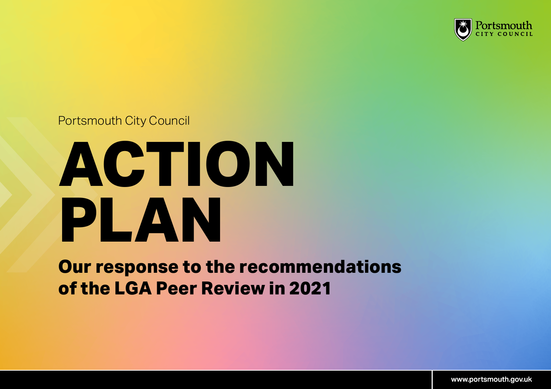

## Portsmouth City Council

## **ACTION PLAN**

**Our response to the recommendations of the LGA Peer Review in 2021**

[www.portsmouth.gov.uk](http://www.portsmouth.gov.uk)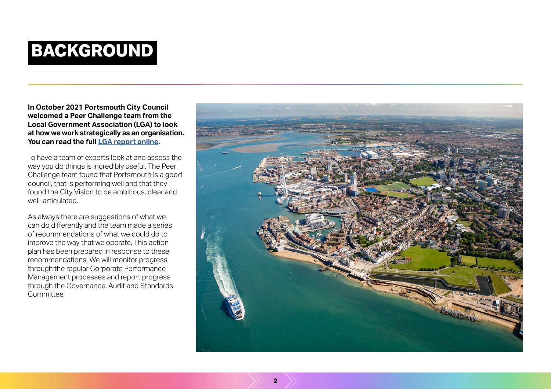## **BACKGROUND**

**In October 2021 Portsmouth City Council welcomed a Peer Challenge team from the Local Government Association (LGA) to look at how we work strategically as an organisation. You can read the full [LGA report online.](https://www.portsmouth.gov.uk/wp-content/uploads/2022/03/LGA-Corporate-Peer-Challenge-Final-Report-2021.pdf)**

To have a team of experts look at and assess the way you do things is incredibly useful. The Peer Challenge team found that Portsmouth is a good council, that is performing well and that they found the City Vision to be ambitious, clear and well-articulated.

As always there are suggestions of what we can do differently and the team made a series of recommendations of what we could do to improve the way that we operate. This action plan has been prepared in response to these recommendations. We will monitor progress through the regular Corporate Performance Management processes and report progress through the Governance, Audit and Standards Committee.

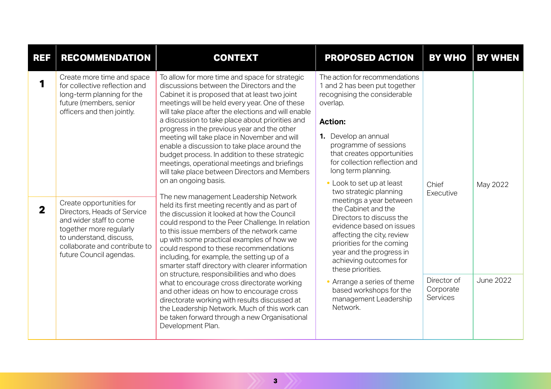| <b>REF</b>        | <b>RECOMMENDATION</b>                                                                                                                                                                                                                                                                                                                                      | <b>CONTEXT</b>                                                                                                                                                                                                                                                                                                                                                                                                                                                                                                                                                                                                                                                                                                                                                                                                                                                                                                                                                                                                                                                                                                                                                                                                                                                                                                                                                                              | <b>PROPOSED ACTION</b>                                                                                                                                                                                                                                                                                                                                                                                                                                                                                                                                                                                                                                                     | <b>BY WHO</b>                                                     | <b>BY WHEN</b>               |
|-------------------|------------------------------------------------------------------------------------------------------------------------------------------------------------------------------------------------------------------------------------------------------------------------------------------------------------------------------------------------------------|---------------------------------------------------------------------------------------------------------------------------------------------------------------------------------------------------------------------------------------------------------------------------------------------------------------------------------------------------------------------------------------------------------------------------------------------------------------------------------------------------------------------------------------------------------------------------------------------------------------------------------------------------------------------------------------------------------------------------------------------------------------------------------------------------------------------------------------------------------------------------------------------------------------------------------------------------------------------------------------------------------------------------------------------------------------------------------------------------------------------------------------------------------------------------------------------------------------------------------------------------------------------------------------------------------------------------------------------------------------------------------------------|----------------------------------------------------------------------------------------------------------------------------------------------------------------------------------------------------------------------------------------------------------------------------------------------------------------------------------------------------------------------------------------------------------------------------------------------------------------------------------------------------------------------------------------------------------------------------------------------------------------------------------------------------------------------------|-------------------------------------------------------------------|------------------------------|
| 1<br>$\mathbf{2}$ | Create more time and space<br>for collective reflection and<br>long-term planning for the<br>future (members, senior<br>officers and then jointly.<br>Create opportunities for<br>Directors, Heads of Service<br>and wider staff to come<br>together more regularly<br>to understand, discuss,<br>collaborate and contribute to<br>future Council agendas. | To allow for more time and space for strategic<br>discussions between the Directors and the<br>Cabinet it is proposed that at least two joint<br>meetings will be held every year. One of these<br>will take place after the elections and will enable<br>a discussion to take place about priorities and<br>progress in the previous year and the other<br>meeting will take place in November and will<br>enable a discussion to take place around the<br>budget process. In addition to these strategic<br>meetings, operational meetings and briefings<br>will take place between Directors and Members<br>on an ongoing basis.<br>The new management Leadership Network<br>held its first meeting recently and as part of<br>the discussion it looked at how the Council<br>could respond to the Peer Challenge. In relation<br>to this issue members of the network came<br>up with some practical examples of how we<br>could respond to these recommendations<br>including, for example, the setting up of a<br>smarter staff directory with clearer information<br>on structure, responsibilities and who does<br>what to encourage cross directorate working<br>and other ideas on how to encourage cross<br>directorate working with results discussed at<br>the Leadership Network. Much of this work can<br>be taken forward through a new Organisational<br>Development Plan. | The action for recommendations<br>1 and 2 has been put together<br>recognising the considerable<br>overlap.<br><b>Action:</b><br>1. Develop an annual<br>programme of sessions<br>that creates opportunities<br>for collection reflection and<br>long term planning.<br>• Look to set up at least<br>two strategic planning<br>meetings a year between<br>the Cabinet and the<br>Directors to discuss the<br>evidence based on issues<br>affecting the city, review<br>priorities for the coming<br>year and the progress in<br>achieving outcomes for<br>these priorities.<br>• Arrange a series of theme<br>based workshops for the<br>management Leadership<br>Network. | Chief<br>Executive<br>Director of<br>Corporate<br><b>Services</b> | May 2022<br><b>June 2022</b> |
|                   |                                                                                                                                                                                                                                                                                                                                                            |                                                                                                                                                                                                                                                                                                                                                                                                                                                                                                                                                                                                                                                                                                                                                                                                                                                                                                                                                                                                                                                                                                                                                                                                                                                                                                                                                                                             |                                                                                                                                                                                                                                                                                                                                                                                                                                                                                                                                                                                                                                                                            |                                                                   |                              |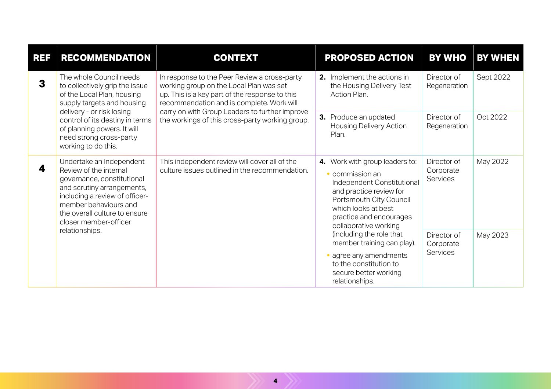| <b>REF</b> | <b>RECOMMENDATION</b>                                                                                                                                                                                                                                                  | <b>CONTEXT</b>                                                                                                                                                                                                                                                                              | <b>PROPOSED ACTION</b>                                                                                                                                                                                                                                                                                                                                                    | <b>BY WHO</b>                        | <b>BY WHEN</b> |
|------------|------------------------------------------------------------------------------------------------------------------------------------------------------------------------------------------------------------------------------------------------------------------------|---------------------------------------------------------------------------------------------------------------------------------------------------------------------------------------------------------------------------------------------------------------------------------------------|---------------------------------------------------------------------------------------------------------------------------------------------------------------------------------------------------------------------------------------------------------------------------------------------------------------------------------------------------------------------------|--------------------------------------|----------------|
| 3          | The whole Council needs<br>to collectively grip the issue<br>of the Local Plan, housing<br>supply targets and housing<br>delivery - or risk losing<br>control of its destiny in terms<br>of planning powers. It will<br>need strong cross-party<br>working to do this. | In response to the Peer Review a cross-party<br>working group on the Local Plan was set<br>up. This is a key part of the response to this<br>recommendation and is complete. Work will<br>carry on with Group Leaders to further improve<br>the workings of this cross-party working group. | 2. Implement the actions in<br>the Housing Delivery Test<br>Action Plan.                                                                                                                                                                                                                                                                                                  | Director of<br>Regeneration          | Sept 2022      |
|            |                                                                                                                                                                                                                                                                        |                                                                                                                                                                                                                                                                                             | 3. Produce an updated<br><b>Housing Delivery Action</b><br>Plan.                                                                                                                                                                                                                                                                                                          | Director of<br>Regeneration          | Oct 2022       |
| 4          | Undertake an Independent<br>Review of the internal<br>governance, constitutional<br>and scrutiny arrangements,<br>including a review of officer-<br>member behaviours and<br>the overall culture to ensure<br>closer member-officer<br>relationships.                  | This independent review will cover all of the<br>culture issues outlined in the recommendation.                                                                                                                                                                                             | 4. Work with group leaders to:<br>• commission an<br>Independent Constitutional<br>and practice review for<br>Portsmouth City Council<br>which looks at best<br>practice and encourages<br>collaborative working<br>(including the role that<br>member training can play).<br>• agree any amendments<br>to the constitution to<br>secure better working<br>relationships. | Director of<br>Corporate<br>Services | May 2022       |
|            |                                                                                                                                                                                                                                                                        |                                                                                                                                                                                                                                                                                             |                                                                                                                                                                                                                                                                                                                                                                           | Director of<br>Corporate<br>Services | May 2023       |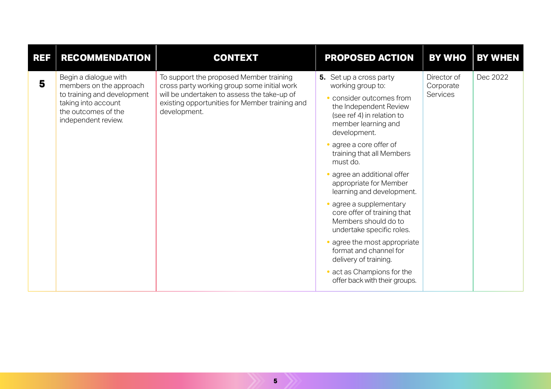| <b>REF</b> | <b>RECOMMENDATION</b>                                                                                                                                | <b>CONTEXT</b>                                                                                                                                                                                          | PROPOSED ACTION                                                                                                                                                                                                                                                                                                                                                                                                                                                                                                                                                                                    | <b>BY WHO</b>                               | <b>BY WHEN</b> |
|------------|------------------------------------------------------------------------------------------------------------------------------------------------------|---------------------------------------------------------------------------------------------------------------------------------------------------------------------------------------------------------|----------------------------------------------------------------------------------------------------------------------------------------------------------------------------------------------------------------------------------------------------------------------------------------------------------------------------------------------------------------------------------------------------------------------------------------------------------------------------------------------------------------------------------------------------------------------------------------------------|---------------------------------------------|----------------|
| 5          | Begin a dialogue with<br>members on the approach<br>to training and development<br>taking into account<br>the outcomes of the<br>independent review. | To support the proposed Member training<br>cross party working group some initial work<br>will be undertaken to assess the take-up of<br>existing opportunities for Member training and<br>development. | 5. Set up a cross party<br>working group to:<br>• consider outcomes from<br>the Independent Review<br>(see ref 4) in relation to<br>member learning and<br>development.<br>• agree a core offer of<br>training that all Members<br>must do.<br>· agree an additional offer<br>appropriate for Member<br>learning and development.<br>· agree a supplementary<br>core offer of training that<br>Members should do to<br>undertake specific roles.<br>• agree the most appropriate<br>format and channel for<br>delivery of training.<br>• act as Champions for the<br>offer back with their groups. | Director of<br>Corporate<br><b>Services</b> | Dec 2022       |
|            |                                                                                                                                                      |                                                                                                                                                                                                         |                                                                                                                                                                                                                                                                                                                                                                                                                                                                                                                                                                                                    |                                             |                |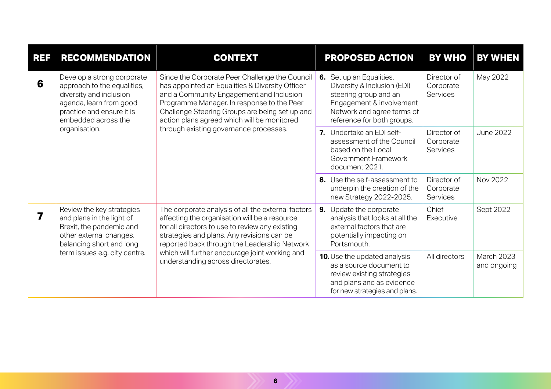| <b>REF</b> | <b>RECOMMENDATION</b>                                                                                                                                                                                                                                                                                                                                                                                                                                                                                                          | <b>CONTEXT</b>                                                                                                                                                                                                                                                                                                                               | <b>PROPOSED ACTION</b>                                                                                                                                     | <b>BY WHO</b>                               | <b>BY WHEN</b>            |
|------------|--------------------------------------------------------------------------------------------------------------------------------------------------------------------------------------------------------------------------------------------------------------------------------------------------------------------------------------------------------------------------------------------------------------------------------------------------------------------------------------------------------------------------------|----------------------------------------------------------------------------------------------------------------------------------------------------------------------------------------------------------------------------------------------------------------------------------------------------------------------------------------------|------------------------------------------------------------------------------------------------------------------------------------------------------------|---------------------------------------------|---------------------------|
| 6          | Since the Corporate Peer Challenge the Council<br>Develop a strong corporate<br>has appointed an Equalities & Diversity Officer<br>approach to the equalities,<br>diversity and inclusion<br>and a Community Engagement and Inclusion<br>agenda, learn from good<br>Programme Manager. In response to the Peer<br>practice and ensure it is<br>Challenge Steering Groups are being set up and<br>embedded across the<br>action plans agreed which will be monitored<br>organisation.<br>through existing governance processes. | 6. Set up an Equalities,<br>Diversity & Inclusion (EDI)<br>steering group and an<br>Engagement & involvement<br>Network and agree terms of<br>reference for both groups.                                                                                                                                                                     | Director of<br>Corporate<br><b>Services</b>                                                                                                                | May 2022                                    |                           |
|            |                                                                                                                                                                                                                                                                                                                                                                                                                                                                                                                                |                                                                                                                                                                                                                                                                                                                                              | 7. Undertake an EDI self-<br>assessment of the Council<br>based on the Local<br>Government Framework<br>document 2021.                                     | Director of<br>Corporate<br><b>Services</b> | <b>June 2022</b>          |
|            |                                                                                                                                                                                                                                                                                                                                                                                                                                                                                                                                |                                                                                                                                                                                                                                                                                                                                              | 8. Use the self-assessment to<br>underpin the creation of the<br>new Strategy 2022-2025.                                                                   | Director of<br>Corporate<br>Services        | Nov 2022                  |
| 7          | Review the key strategies<br>and plans in the light of<br>Brexit, the pandemic and<br>other external changes,<br>balancing short and long<br>term issues e.g. city centre.                                                                                                                                                                                                                                                                                                                                                     | The corporate analysis of all the external factors<br>affecting the organisation will be a resource<br>for all directors to use to review any existing<br>strategies and plans. Any revisions can be<br>reported back through the Leadership Network<br>which will further encourage joint working and<br>understanding across directorates. | 9. Update the corporate<br>analysis that looks at all the<br>external factors that are<br>potentially impacting on<br>Portsmouth.                          | Chief<br>Executive                          | Sept 2022                 |
|            |                                                                                                                                                                                                                                                                                                                                                                                                                                                                                                                                |                                                                                                                                                                                                                                                                                                                                              | <b>10.</b> Use the updated analysis<br>as a source document to<br>review existing strategies<br>and plans and as evidence<br>for new strategies and plans. | All directors                               | March 2023<br>and ongoing |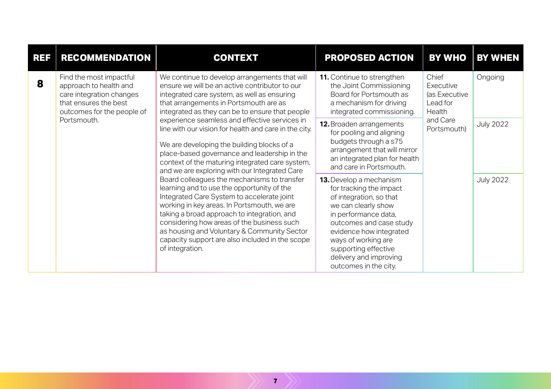| REF | <b>RECOMMENDATION</b>                                                                                                                | <b>CONTEXT</b>                                                                                                                                                                                                                                                                                                                                                                                                                                                                                                                                                                                                                                                                                                       | <b>PROPOSED ACTION</b>                                                                                                                                                                                                                                                               | <b>BY WHO</b>                                                                        | <b>BY WHEN</b>   |
|-----|--------------------------------------------------------------------------------------------------------------------------------------|----------------------------------------------------------------------------------------------------------------------------------------------------------------------------------------------------------------------------------------------------------------------------------------------------------------------------------------------------------------------------------------------------------------------------------------------------------------------------------------------------------------------------------------------------------------------------------------------------------------------------------------------------------------------------------------------------------------------|--------------------------------------------------------------------------------------------------------------------------------------------------------------------------------------------------------------------------------------------------------------------------------------|--------------------------------------------------------------------------------------|------------------|
| 8   | Find the most impactful<br>approach to health and<br>care integration changes<br>that ensures the best<br>outcomes for the people of | We continue to develop arrangements that will<br>ensure we will be an active contributor to our<br>integrated care system, as well as ensuring<br>that arrangements in Portsmouth are as<br>integrated as they can be to ensure that people                                                                                                                                                                                                                                                                                                                                                                                                                                                                          | <b>11.</b> Continue to strengthen<br>the Joint Commissioning<br>Board for Portsmouth as<br>a mechanism for driving<br>integrated commissioning.                                                                                                                                      | Chief<br>Executive<br>(as Executive<br>Lead for<br>Health<br>and Care<br>Portsmouth) | Ongoing          |
|     | Portsmouth.                                                                                                                          | experience seamless and effective services in<br>line with our vision for health and care in the city.<br>We are developing the building blocks of a<br>place-based governance and leadership in the<br>context of the maturing integrated care system,<br>and we are exploring with our Integrated Care<br>Board colleagues the mechanisms to transfer<br>learning and to use the opportunity of the<br>Integrated Care System to accelerate joint<br>working in key areas. In Portsmouth, we are<br>taking a broad approach to integration, and<br>considering how areas of the business such<br>as housing and Voluntary & Community Sector<br>capacity support are also included in the scope<br>of integration. | 12. Broaden arrangements<br>for pooling and aligning<br>budgets through a s75<br>arrangement that will mirror<br>an integrated plan for health<br>and care in Portsmouth.                                                                                                            |                                                                                      | <b>July 2022</b> |
|     |                                                                                                                                      |                                                                                                                                                                                                                                                                                                                                                                                                                                                                                                                                                                                                                                                                                                                      | 13. Develop a mechanism<br>for tracking the impact<br>of integration, so that<br>we can clearly show<br>in performance data,<br>outcomes and case study<br>evidence how integrated<br>ways of working are<br>supporting effective<br>delivery and improving<br>outcomes in the city. |                                                                                      | <b>July 2022</b> |